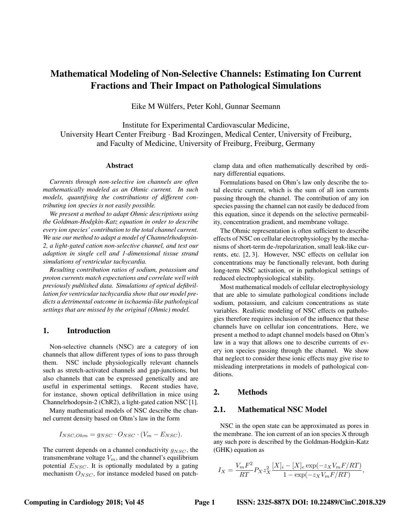# Mathematical Modeling of Non-Selective Channels: Estimating Ion Current Fractions and Their Impact on Pathological Simulations

Eike M Wülfers, Peter Kohl, Gunnar Seemann

Institute for Experimental Cardiovascular Medicine, University Heart Center Freiburg · Bad Krozingen, Medical Center, University of Freiburg, and Faculty of Medicine, University of Freiburg, Freiburg, Germany

## Abstract

*Currents through non-selective ion channels are often mathematically modeled as an Ohmic current. In such models, quantifying the contributions of different contributing ion species is not easily possible.*

*We present a method to adapt Ohmic descriptions using the Goldman-Hodgkin-Katz equation in order to describe every ion species' contribution to the total channel current. We use our method to adapt a model of Channelrhodopsin-2, a light-gated cation non-selective channel, and test our adaption in single cell and 1-dimensional tissue strand simulations of ventricular tachycardia.*

*Resulting contribution ratios of sodium, potassium and proton currents match expectations and correlate well with previously published data. Simulations of optical defibrillation for ventricular tachycardia show that our model predicts a detrimental outcome in ischaemia-like pathological settings that are missed by the original (Ohmic) model.*

# 1. Introduction

Non-selective channels (NSC) are a category of ion channels that allow different types of ions to pass through them. NSC include physiologically relevant channels such as stretch-activated channels and gap-junctions, but also channels that can be expressed genetically and are useful in experimental settings. Recent studies have, for instance, shown optical defibrillation in mice using Channelrhodopsin-2 (ChR2), a light-gated cation NSC [1].

Many mathematical models of NSC describe the channel current density based on Ohm's law in the form

$$
I_{NSC,Ohm} = g_{NSC} \cdot O_{NSC} \cdot (V_m - E_{NSC}).
$$

The current depends on a channel conductivity  $q_{NSC}$ , the transmembrane voltage  $V_m$ , and the channel's equilibrium potential  $E_{NSC}$ . It is optionally modulated by a gating mechanism  $O_{NSC}$ , for instance modeled based on patchclamp data and often mathematically described by ordinary differential equations.

Formulations based on Ohm's law only describe the total electric current, which is the sum of all ion currents passing through the channel. The contribution of any ion species passing the channel can not easily be deduced from this equation, since it depends on the selective permeability, concentration gradient, and membrane voltage.

The Ohmic representation is often sufficient to describe effects of NSC on cellular electrophysiology by the mechanisms of short-term de-/repolarization, small leak-like currents, etc. [2, 3]. However, NSC effects on cellular ion concentrations may be functionally relevant, both during long-term NSC activation, or in pathological settings of reduced electrophysiological stability.

Most mathematical models of cellular electrophysiology that are able to simulate pathological conditions include sodium, potassium, and calcium concentrations as state variables. Realistic modeling of NSC effects on pathologies therefore requires inclusion of the influence that these channels have on cellular ion concentrations. Here, we present a method to adapt channel models based on Ohm's law in a way that allows one to describe currents of every ion species passing through the channel. We show that neglect to consider these ionic effects may give rise to misleading interpretations in models of pathological conditions.

# 2. Methods

# 2.1. Mathematical NSC Model

NSC in the open state can be approximated as pores in the membrane. The ion current of an ion species X through any such pore is described by the Goldman-Hodgkin-Katz (GHK) equation as

$$
I_X = \frac{V_m F^2}{RT} P_X z_X^2 \frac{[X]_i - [X]_e \exp(-z_X V_m F/RT)}{1 - \exp(-z_X V_m F/RT)},
$$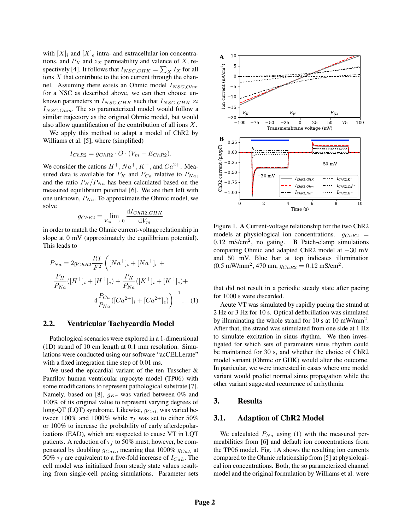with  $[X]_i$  and  $[X]_e$  intra- and extracellular ion concentrations, and  $P_X$  and  $z_X$  permeability and valence of X, respectively [4]. It follows that  $I_{NSC,GHK} = \sum_{X} I_X$  for all ions  $X$  that contribute to the ion current through the channel. Assuming there exists an Ohmic model  $I_{NSC,Ohm}$ for a NSC as described above, we can then choose unknown parameters in  $I_{NSC,GHK}$  such that  $I_{NSC,GHK} \approx$  $I_{NSC,Ohm}$ . The so parameterized model would follow a similar trajectory as the original Ohmic model, but would also allow quantification of the contribution of all ions  $X$ .

We apply this method to adapt a model of ChR2 by Williams et al. [5], where (simplified)

$$
I_{ChR2} = g_{ChR2} \cdot O \cdot (V_m - E_{ChR2}).
$$

We consider the cations  $H^+$ ,  $Na^+$ ,  $K^+$ , and  $Ca^{2+}$ . Measured data is available for  $P_K$  and  $P_{Ca}$  relative to  $P_{Na}$ , and the ratio  $P_H/P_{Na}$  has been calculated based on the measured equilibrium potential [6]. We are then left with one unknown,  $P_{Na}$ . To approximate the Ohmic model, we solve

$$
g_{ChR2} = \lim_{V_m \to 0} \frac{\mathrm{d}I_{ChR2,GHK}}{\mathrm{d}V_m}
$$

in order to match the Ohmic current-voltage relationship in slope at 0 mV (approximately the equilibrium potential). This leads to

$$
P_{Na} = 2g_{ChR2} \frac{RT}{F^2} \left( [Na^+]_i + [Na^+]_e + \frac{P_H}{P_{Na}}([H^+]_i + [H^+]_e) + \frac{P_K}{P_{Na}}([K^+]_i + [K^+]_e) + \frac{4 \frac{P_{Ca}}{P_{Na}}([Ca^{2+}]_i + [Ca^{2+}]_e) \right)^{-1}.
$$
 (1)

## 2.2. Ventricular Tachycardia Model

Pathological scenarios were explored in a 1-dimensional (1D) strand of 10 cm length at 0.1 mm resolution. Simulations were conducted using our software "acCELLerate" with a fixed integration time step of 0.01 ms.

We used the epicardial variant of the ten Tusscher & Panfilov human ventricular myocyte model (TP06) with some modifications to represent pathological substrate [7]. Namely, based on [8],  $g_{Kr}$  was varied between 0% and 100% of its original value to represent varying degrees of long-QT (LQT) syndrome. Likewise,  $g_{CaL}$  was varied between 100% and 1000% while  $\tau_f$  was set to either 50% or 100% to increase the probability of early afterdepolarizations (EAD), which are suspected to cause VT in LQT patients. A reduction of  $\tau_f$  to 50% must, however, be compensated by doubling  $g_{CaL}$ , meaning that 1000%  $g_{CaL}$  at 50%  $\tau_f$  are equivalent to a five-fold increase of  $I_{CaL}$ . The cell model was initialized from steady state values resulting from single-cell pacing simulations. Parameter sets



Figure 1. A Current-voltage relationship for the two ChR2 models at physiological ion concentrations.  $g_{ChR2}$  =  $0.12$  mS/cm<sup>2</sup>, no gating. **B** Patch-clamp simulations comparing Ohmic and adapted ChR2 model at −30 mV and 50 mV. Blue bar at top indicates illumination  $(0.5 \text{ mW/mm}^2, 470 \text{ nm}, g_{ChR2} = 0.12 \text{ mS/cm}^2.$ 

that did not result in a periodic steady state after pacing for 1000 s were discarded.

Acute VT was simulated by rapidly pacing the strand at 2 Hz or 3 Hz for 10 s. Optical defibrillation was simulated by illuminating the whole strand for 10 s at 10 mW/mm<sup>2</sup>. After that, the strand was stimulated from one side at 1 Hz to simulate excitation in sinus rhythm. We then investigated for which sets of parameters sinus rhythm could be maintained for 30 s, and whether the choice of ChR2 model variant (Ohmic or GHK) would alter the outcome. In particular, we were interested in cases where one model variant would predict normal sinus propagation while the other variant suggested recurrence of arrhythmia.

## 3. Results

## 3.1. Adaption of ChR2 Model

We calculated  $P_{Na}$  using (1) with the measured permeabilities from [6] and default ion concentrations from the TP06 model. Fig. 1A shows the resulting ion currents compared to the Ohmic relationship from [5] at physiological ion concentrations. Both, the so parameterized channel model and the original formulation by Williams et al. were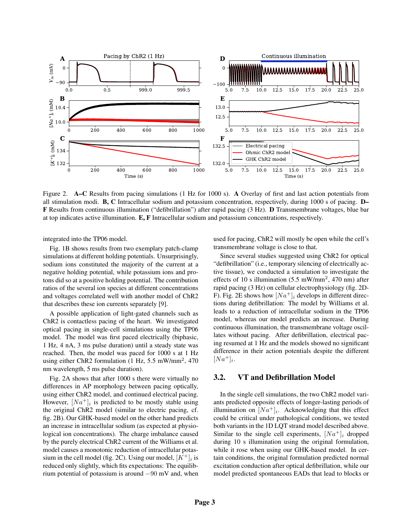

Figure 2. A–C Results from pacing simulations (1 Hz for 1000 s). A Overlay of first and last action potentials from all stimulation modi. B, C Intracellular sodium and potassium concentration, respectively, during 1000 s of pacing. D– F Results from continuous illumination ("defibrillation") after rapid pacing (3 Hz). D Transmembrane voltages, blue bar at top indicates active illumination. E, F Intracellular sodium and potassium concentrations, respectively.

integrated into the TP06 model.

Fig. 1B shows results from two exemplary patch-clamp simulations at different holding potentials. Unsurprisingly, sodium ions constituted the majority of the current at a negative holding potential, while potassium ions and protons did so at a positive holding potential. The contribution ratios of the several ion species at different concentrations and voltages correlated well with another model of ChR2 that describes these ion currents separately [9].

A possible application of light-gated channels such as ChR2 is contactless pacing of the heart. We investigated optical pacing in single-cell simulations using the TP06 model. The model was first paced electrically (biphasic, 1 Hz, 4 nA, 3 ms pulse duration) until a steady state was reached. Then, the model was paced for 1000 s at 1 Hz using either ChR2 formulation (1 Hz, 5.5 mW/mm<sup>2</sup>, 470 nm wavelength, 5 ms pulse duration).

Fig. 2A shows that after 1000 s there were virtually no differences in AP morphology between pacing optically, using either ChR2 model, and continued electrical pacing. However,  $[Na^+]_i$  is predicted to be mostly stable using the original ChR2 model (similar to electric pacing, cf. fig. 2B). Our GHK-based model on the other hand predicts an increase in intracellular sodium (as expected at physiological ion concentrations). The charge imbalance caused by the purely electrical ChR2 current of the Williams et al. model causes a monotonic reduction of intracellular potassium in the cell model (fig. 2C). Using our model,  $[K^+]_i$  is reduced only slightly, which fits expectations: The equilibrium potential of potassium is around −90 mV and, when

used for pacing, ChR2 will mostly be open while the cell's transmembrane voltage is close to that.

Since several studies suggested using ChR2 for optical "defibrillation" (i.e., temporary silencing of electrically active tissue), we conducted a simulation to investigate the effects of 10 s illumination  $(5.5 \text{ mW/mm}^2, 470 \text{ nm})$  after rapid pacing (3 Hz) on cellular electrophysiology (fig. 2D-F). Fig. 2E shows how  $[Na^+]_i$  develops in different directions during defibrillation: The model by Williams et al. leads to a reduction of intracellular sodium in the TP06 model, whereas our model predicts an increase. During continuous illumination, the transmembrane voltage oscillates without pacing. After defibrillation, electrical pacing resumed at 1 Hz and the models showed no significant difference in their action potentials despite the different  $[Na^+]_i.$ 

## 3.2. VT and Defibrillation Model

In the single cell simulations, the two ChR2 model variants predicted opposite effects of longer-lasting periods of illumination on  $[Na^+]_i$ . Acknowledging that this effect could be critical under pathological conditions, we tested both variants in the 1D LQT strand model described above. Similar to the single cell experiments,  $[Na<sup>+</sup>]$ <sub>i</sub> dropped during 10 s illumination using the original formulation, while it rose when using our GHK-based model. In certain conditions, the original formulation predicted normal excitation conduction after optical defibrillation, while our model predicted spontaneous EADs that lead to blocks or